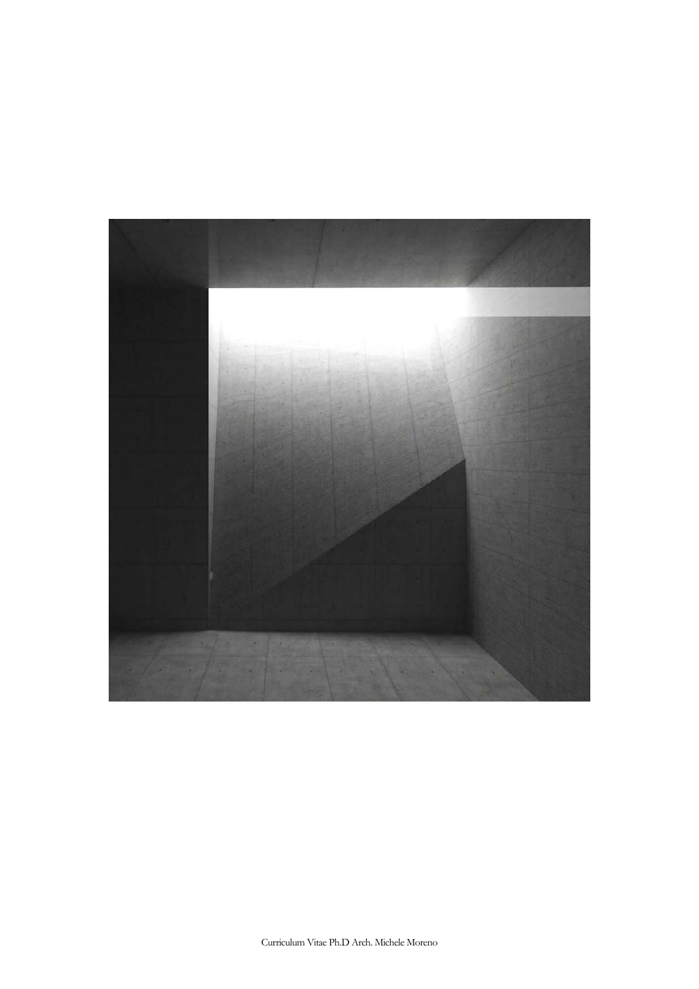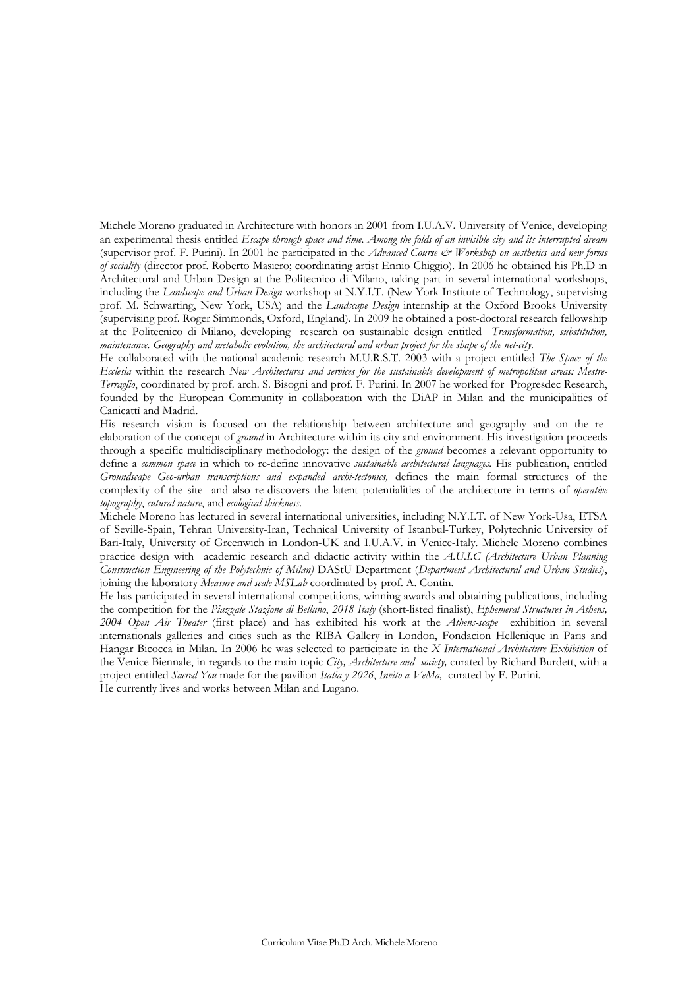Michele Moreno graduated in Architecture with honors in 2001 from I.U.A.V. University of Venice, developing an experimental thesis entitled *Escape through space and time. Among the folds of an invisible city and its interrupted dream*  (supervisor prof. F. Purini). In 2001 he participated in the *Advanced Course & Workshop on aesthetics and new forms of sociality* (director prof. Roberto Masiero; coordinating artist Ennio Chiggio). In 2006 he obtained his Ph.D in Architectural and Urban Design at the Politecnico di Milano, taking part in several international workshops, including the *Landscape and Urban Design* workshop at N.Y.I.T. (New York Institute of Technology, supervising prof. M. Schwarting, New York, USA) and the *Landscape Design* internship at the Oxford Brooks University (supervising prof. Roger Simmonds, Oxford, England). In 2009 he obtained a post-doctoral research fellowship at the Politecnico di Milano, developing research on sustainable design entitled *Transformation, substitution, maintenance. Geography and metabolic evolution, the architectural and urban project for the shape of the net-city*.

He collaborated with the national academic research M.U.R.S.T. 2003 with a project entitled *The Space of the Ecclesia* within the research *New Architectures and services for the sustainable development of metropolitan areas: Mestre-Terraglio*, coordinated by prof. arch. S. Bisogni and prof. F. Purini. In 2007 he worked for Progresdec Research, founded by the European Community in collaboration with the DiAP in Milan and the municipalities of Canicattì and Madrid.

His research vision is focused on the relationship between architecture and geography and on the reelaboration of the concept of *ground* in Architecture within its city and environment. His investigation proceeds through a specific multidisciplinary methodology: the design of the *ground* becomes a relevant opportunity to define a *common space* in which to re-define innovative *sustainable architectural languages.* His publication, entitled *Groundscape Geo-urban transcriptions and expanded archi-tectonics,* defines the main formal structures of the complexity of the site and also re-discovers the latent potentialities of the architecture in terms of *operative topography*, *cutural nature*, and *ecological thickness*.

Michele Moreno has lectured in several international universities, including N.Y.I.T. of New York-Usa, ETSA of Seville-Spain, Tehran University-Iran, Technical University of Istanbul-Turkey, Polytechnic University of Bari-Italy, University of Greenwich in London-UK and I.U.A.V. in Venice-Italy. Michele Moreno combines practice design with academic research and didactic activity within the *A.U.I.C (Architecture Urban Planning Construction Engineering of the Polytechnic of Milan)* DAStU Department (*Department Architectural and Urban Studies*), joining the laboratory *Measure and scale MSLab* coordinated by prof. A. Contin.

He has participated in several international competitions, winning awards and obtaining publications, including the competition for the *Piazzale Stazione di Belluno*, *2018 Italy* (short-listed finalist), *Ephemeral Structures in Athens, 2004 Open Air Theater* (first place) and has exhibited his work at the *Athens-scape* exhibition in several internationals galleries and cities such as the RIBA Gallery in London, Fondacion Hellenique in Paris and Hangar Bicocca in Milan. In 2006 he was selected to participate in the *X International Architecture Exhibition* of the Venice Biennale, in regards to the main topic *City, Architecture and society,* curated by Richard Burdett, with a project entitled *Sacred You* made for the pavilion *Italia-y-2026*, *Invito a VeMa,* curated by F. Purini. He currently lives and works between Milan and Lugano.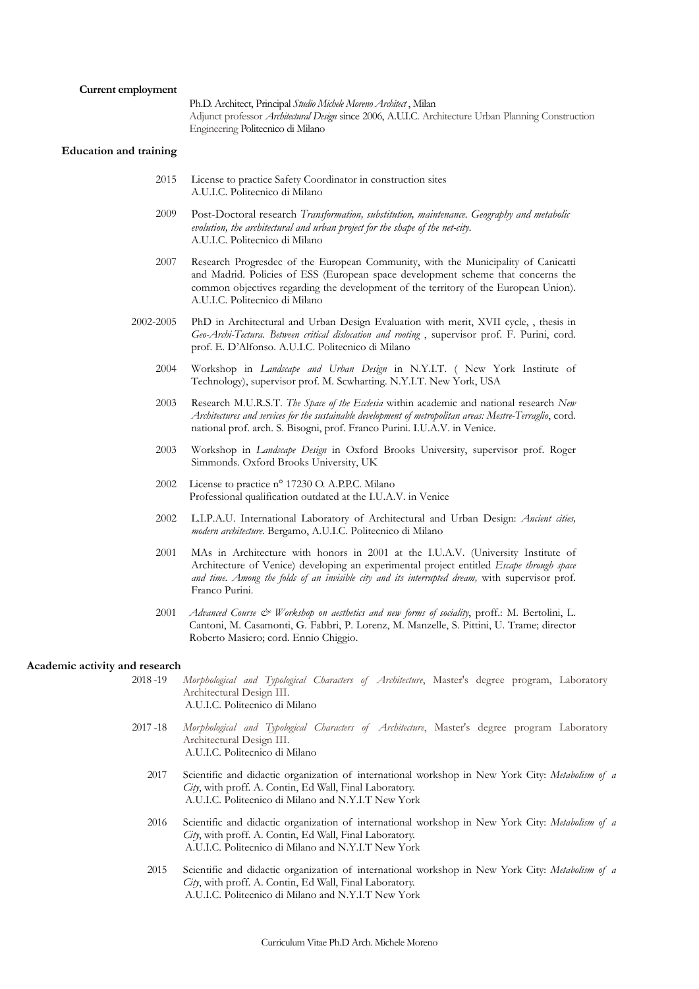Ph.D. Architect, Principal *Studio Michele Moreno Architect* , Milan Adjunct professor *Architectural Design* since 2006, A.U.I.C. Architecture Urban Planning Construction Engineering Politecnico di Milano

#### **Education and training**

- 2015 License to practice Safety Coordinator in construction sites A.U.I.C. Politecnico di Milano
- 2009 Post-Doctoral research *Transformation, substitution, maintenance. Geography and metabolic evolution, the architectural and urban project for the shape of the net-city*. A.U.I.C. Politecnico di Milano
- 2007 Research Progresdec of the European Community, with the Municipality of Canicattì and Madrid. Policies of ESS (European space development scheme that concerns the common objectives regarding the development of the territory of the European Union). A.U.I.C. Politecnico di Milano
- 2002-2005 PhD in Architectural and Urban Design Evaluation with merit, XVII cycle, , thesis in *Geo-Archi-Tectura. Between critical dislocation and rooting* , supervisor prof. F. Purini, cord. prof. E. D'Alfonso. A.U.I.C. Politecnico di Milano
	- 2004 Workshop in *Landscape and Urban Design* in N.Y.I.T. ( New York Institute of Technology), supervisor prof. M. Scwharting. N.Y.I.T. New York, USA
	- 2003 Research M.U.R.S.T. *The Space of the Ecclesia* within academic and national research *New Architectures and services for the sustainable development of metropolitan areas: Mestre-Terraglio*, cord. national prof. arch. S. Bisogni, prof. Franco Purini. I.U.A.V. in Venice.
	- 2003 Workshop in *Landscape Design* in Oxford Brooks University, supervisor prof. Roger Simmonds. Oxford Brooks University, UK
	- 2002 License to practice n° 17230 O. A.P.P.C. Milano Professional qualification outdated at the I.U.A.V. in Venice
	- 2002 L.I.P.A.U. International Laboratory of Architectural and Urban Design: *Ancient cities, modern architecture*. Bergamo, A.U.I.C. Politecnico di Milano
	- 2001 MAs in Architecture with honors in 2001 at the I.U.A.V. (University Institute of Architecture of Venice) developing an experimental project entitled *Escape through space and time. Among the folds of an invisible city and its interrupted dream,* with supervisor prof. Franco Purini.
	- 2001 *Advanced Course & Workshop on aesthetics and new forms of sociality*, proff.: M. Bertolini, L. Cantoni, M. Casamonti, G. Fabbri, P. Lorenz, M. Manzelle, S. Pittini, U. Trame; director Roberto Masiero; cord. Ennio Chiggio.

## **Academic activity and research**

- 2018 -19 *Morphological and Typological Characters of Architecture*, Master's degree program, Laboratory Architectural Design III. A.U.I.C. Politecnico di Milano
- 2017 -18 *Morphological and Typological Characters of Architecture*, Master's degree program Laboratory Architectural Design III. A.U.I.C. Politecnico di Milano
	- 2017 Scientific and didactic organization of international workshop in New York City: *Metabolism of a City*, with proff. A. Contin, Ed Wall, Final Laboratory. A.U.I.C. Politecnico di Milano and N.Y.I.T New York
	- 2016 Scientific and didactic organization of international workshop in New York City: *Metabolism of a City*, with proff. A. Contin, Ed Wall, Final Laboratory. A.U.I.C. Politecnico di Milano and N.Y.I.T New York
	- 2015 Scientific and didactic organization of international workshop in New York City: *Metabolism of a City*, with proff. A. Contin, Ed Wall, Final Laboratory. A.U.I.C. Politecnico di Milano and N.Y.I.T New York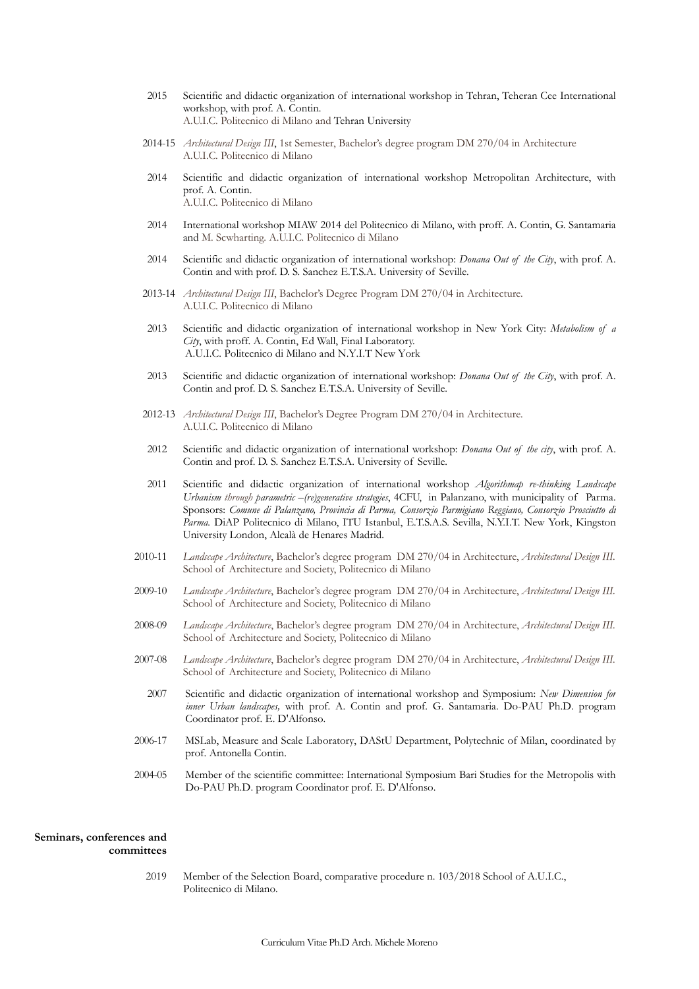- 2015 Scientific and didactic organization of international workshop in Tehran, Teheran Cee International workshop, with prof. A. Contin. A.U.I.C. Politecnico di Milano and Tehran University
- 2014-15 *Architectural Design III*, 1st Semester, Bachelor's degree program DM 270/04 in Architecture A.U.I.C. Politecnico di Milano
- 2014 Scientific and didactic organization of international workshop Metropolitan Architecture, with prof. A. Contin. A.U.I.C. Politecnico di Milano
- 2014 International workshop MIAW 2014 del Politecnico di Milano, with proff. A. Contin, G. Santamaria and M. Scwharting. A.U.I.C. Politecnico di Milano
- 2014 Scientific and didactic organization of international workshop: *Donana Out of the City*, with prof. A. Contin and with prof. D. S. Sanchez E.T.S.A. University of Seville.
- 2013-14 *Architectural Design III*, Bachelor's Degree Program DM 270/04 in Architecture. A.U.I.C. Politecnico di Milano
- 2013 Scientific and didactic organization of international workshop in New York City: *Metabolism of a City*, with proff. A. Contin, Ed Wall, Final Laboratory. A.U.I.C. Politecnico di Milano and N.Y.I.T New York
- 2013 Scientific and didactic organization of international workshop: *Donana Out of the City*, with prof. A. Contin and prof. D. S. Sanchez E.T.S.A. University of Seville.
- 2012-13 *Architectural Design III*, Bachelor's Degree Program DM 270/04 in Architecture. A.U.I.C. Politecnico di Milano
- 2012 Scientific and didactic organization of international workshop: *Donana Out of the city*, with prof. A. Contin and prof. D. S. Sanchez E.T.S.A. University of Seville.
- 2011 Scientific and didactic organization of international workshop *Algorithmap re-thinking Landscape Urbanism through parametric –(re)generative strategies*, 4CFU, in Palanzano, with municipality of Parma. Sponsors: *Comune di Palanzano, Provincia di Parma, Consorzio Parmigiano Reggiano, Consorzio Prosciutto di Parma.* DiAP Politecnico di Milano, ITU Istanbul, E.T.S.A.S. Sevilla, N.Y.I.T. New York, Kingston University London, Alcalà de Henares Madrid.
- 2010-11 *Landscape Architecture*, Bachelor's degree program DM 270/04 in Architecture, *Architectural Design III.* School of Architecture and Society, Politecnico di Milano
- 2009-10 *Landscape Architecture*, Bachelor's degree program DM 270/04 in Architecture, *Architectural Design III.* School of Architecture and Society, Politecnico di Milano
- 2008-09 *Landscape Architecture*, Bachelor's degree program DM 270/04 in Architecture, *Architectural Design III.* School of Architecture and Society, Politecnico di Milano
- 2007-08 *Landscape Architecture*, Bachelor's degree program DM 270/04 in Architecture, *Architectural Design III.* School of Architecture and Society, Politecnico di Milano
	- 2007 Scientific and didactic organization of international workshop and Symposium: *New Dimension for inner Urban landscapes,* with prof. A. Contin and prof. G. Santamaria. Do-PAU Ph.D. program Coordinator prof. E. D'Alfonso.
- 2006-17 MSLab, Measure and Scale Laboratory, DAStU Department, Polytechnic of Milan, coordinated by prof. Antonella Contin.
- 2004-05 Member of the scientific committee: International Symposium Bari Studies for the Metropolis with Do-PAU Ph.D. program Coordinator prof. E. D'Alfonso.

# **Seminars, conferences and committees**

2019 Member of the Selection Board, comparative procedure n. 103/2018 School of A.U.I.C., Politecnico di Milano.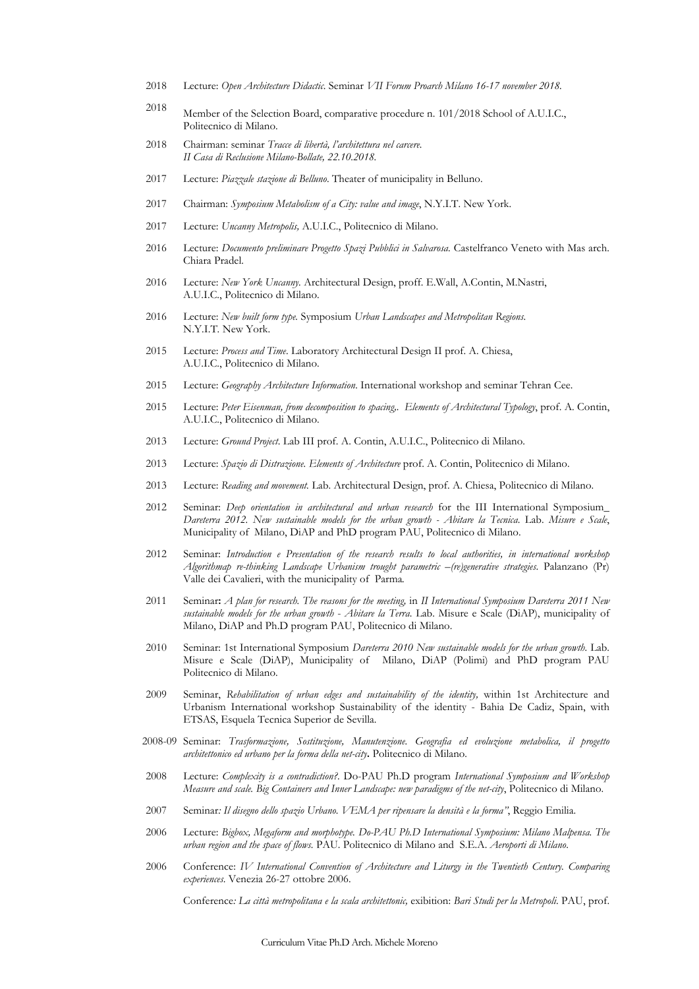- 2018 Lecture: *Open Architecture Didactic*. Seminar *VII Forum Proarch Milano 16-17 november 2018.*
- 2018 Member of the Selection Board, comparative procedure n. 101/2018 School of A.U.I.C., Politecnico di Milano.
- 2018 Chairman: seminar *Tracce di libertà, l'architettura nel carcere. II Casa di Reclusione Milano-Bollate, 22.10.2018.*
- 2017 Lecture: *Piazzale stazione di Belluno*. Theater of municipality in Belluno.
- 2017 Chairman: *Symposium Metabolism of a City: value and image*, N.Y.I.T. New York.
- 2017 Lecture: *Uncanny Metropolis,* A.U.I.C., Politecnico di Milano.
- 2016 Lecture: *Documento preliminare Progetto Spazi Pubblici in Salvarosa.* Castelfranco Veneto with Mas arch. Chiara Pradel.
- 2016 Lecture: *New York Uncanny.* Architectural Design, proff. E.Wall, A.Contin, M.Nastri, A.U.I.C., Politecnico di Milano.
- 2016 Lecture: *New built form type.* Symposium *Urban Landscapes and Metropolitan Regions*. N.Y.I.T*.* New York.
- 2015 Lecture: *Process and Time*. Laboratory Architectural Design II prof. A. Chiesa, A.U.I.C., Politecnico di Milano.
- 2015 Lecture: *Geography Architecture Information*. International workshop and seminar Tehran Cee.
- 2015 Lecture: *Peter Eisenman, from decomposition to spacing,. Elements of Architectural Typology*, prof. A. Contin, A.U.I.C., Politecnico di Milano.
- 2013 Lecture: *Ground Project*. Lab III prof. A. Contin, A.U.I.C., Politecnico di Milano.
- 2013 Lecture: *Spazio di Distrazione. Elements of Architecture* prof. A. Contin, Politecnico di Milano.
- 2013 Lecture: *Reading and movement.* Lab. Architectural Design, prof. A. Chiesa, Politecnico di Milano.
- 2012 Seminar: *Deep orientation in architectural and urban research* for the III International Symposium\_ *Dareterra 2012. New sustainable models for the urban growth - Abitare la Tecnica*. Lab. *Misure e Scale*, Municipality of Milano, DiAP and PhD program PAU, Politecnico di Milano.
- 2012 Seminar: *Introduction e Presentation of the research results to local authorities, in international workshop Algorithmap re-thinking Landscape Urbanism trought parametric –(re)generative strategies*. Palanzano (Pr) Valle dei Cavalieri, with the municipality of Parma*.*
- 2011 Seminar**:** *A plan for research. The reasons for the meeting,* in *II International Symposium Dareterra 2011 New sustainable models for the urban growth* - *Abitare la Terra*. Lab. Misure e Scale (DiAP), municipality of Milano, DiAP and Ph.D program PAU, Politecnico di Milano.
- 2010 Seminar: 1st International Symposium *Dareterra 2010 New sustainable models for the urban growth.* Lab. Misure e Scale (DiAP), Municipality of Milano, DiAP (Polimi) and PhD program PAU Politecnico di Milano.
- 2009 Seminar, *Rehabilitation of urban edges and sustainability of the identity,* within 1st Architecture and Urbanism International workshop Sustainability of the identity - Bahia De Cadiz, Spain, with ETSAS, Esquela Tecnica Superior de Sevilla.
- 2008-09 Seminar: *Trasformazione, Sostituzione, Manutenzione. Geografia ed evoluzione metabolica, il progetto architettonico ed urbano per la forma della net-city***.** Politecnico di Milano.
- 2008 Lecture: *Complexity is a contradiction?*. Do-PAU Ph.D program *International Symposium and Workshop Measure and scale. Big Containers and Inner Landscape: new paradigms of the net-city*, Politecnico di Milano.
- 2007 Seminar*: Il disegno dello spazio Urbano. VEMA per ripensare la densità e la forma"*, Reggio Emilia.
- 2006 Lecture: *Bigbox, Megaform and morphotype. Do-PAU Ph.D International Symposium: Milano Malpensa. The urban region and the space of flows.* PAU. Politecnico di Milano and S.E.A. *Aeroporti di Milano*.
- 2006 Conference: *IV International Convention of Architecture and Liturgy in the Twentieth Century. Comparing experiences*. Venezia 26-27 ottobre 2006.

Conference*: La città metropolitana e la scala architettonic,* exibition: *Bari Studi per la Metropoli*. PAU, prof.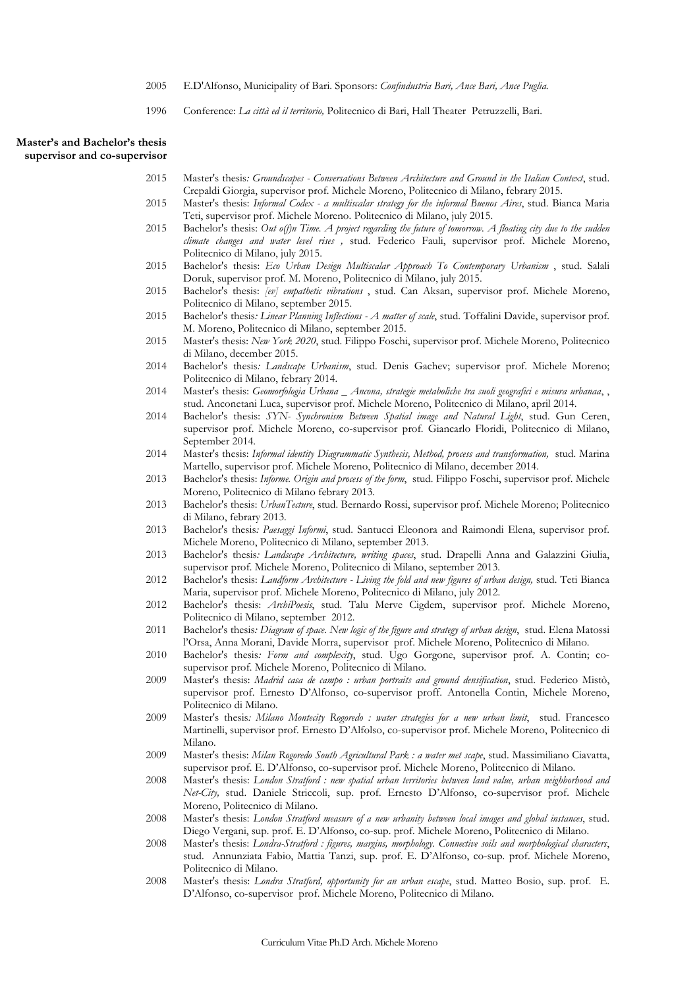- 2005 E.D'Alfonso, Municipality of Bari. Sponsors: *Confindustria Bari, Ance Bari, Ance Puglia.*
- 1996 Conference: *La città ed il territorio,* Politecnico di Bari, Hall Theater Petruzzelli, Bari.

# **Master's and Bachelor's thesis supervisor and co-supervisor**

- 2015 Master's thesis*: Groundscapes Conversations Between Architecture and Ground in the Italian Context*, stud. Crepaldi Giorgia, supervisor prof. Michele Moreno, Politecnico di Milano, febrary 2015.
- 2015 Master's thesis: *Informal Codex a multiscalar strategy for the informal Buenos Aires*, stud. Bianca Maria Teti, supervisor prof. Michele Moreno. Politecnico di Milano, july 2015.
- 2015 Bachelor's thesis: *Out o(f)n Time. A project regarding the future of tomorrow. A floating city due to the sudden climate changes and water level rises ,* stud. Federico Fauli, supervisor prof. Michele Moreno, Politecnico di Milano, july 2015.
- 2015 Bachelor's thesis: *Eco Urban Design Multiscalar Approach To Contemporary Urbanism* , stud. Salali Doruk, supervisor prof. M. Moreno, Politecnico di Milano, july 2015.
- 2015 Bachelor's thesis: *[ev] empathetic vibrations* , stud. Can Aksan, supervisor prof. Michele Moreno, Politecnico di Milano, september 2015.
- 2015 Bachelor's thesis*: Linear Planning Inflections A matter of scale*, stud. Toffalini Davide, supervisor prof. M. Moreno, Politecnico di Milano, september 2015.
- 2015 Master's thesis: *New York 2020*, stud. Filippo Foschi, supervisor prof. Michele Moreno, Politecnico di Milano, december 2015.
- 2014 Bachelor's thesis*: Landscape Urbanism*, stud. Denis Gachev; supervisor prof. Michele Moreno; Politecnico di Milano, febrary 2014.
- 2014 Master's thesis: *Geomorfologia Urbana \_ Ancona, strategie metaboliche tra suoli geografici e misura urbanaa*, , stud. Anconetani Luca, supervisor prof. Michele Moreno, Politecnico di Milano, april 2014.
- 2014 Bachelor's thesis: *SYN- Synchronism Between Spatial image and Natural Light*, stud. Gun Ceren, supervisor prof. Michele Moreno, co-supervisor prof. Giancarlo Floridi, Politecnico di Milano, September 2014.
- 2014 Master's thesis: *Informal identity Diagrammatic Synthesis, Method, process and transformation*, stud. Marina Martello, supervisor prof. Michele Moreno, Politecnico di Milano, december 2014.
- 2013 Bachelor's thesis: *Informe. Origin and process of the form*, stud. Filippo Foschi, supervisor prof. Michele Moreno, Politecnico di Milano febrary 2013.
- 2013 Bachelor's thesis: *UrbanTecture*, stud. Bernardo Rossi, supervisor prof. Michele Moreno; Politecnico di Milano, febrary 2013.
- 2013 Bachelor's thesis*: Paesaggi Informi*, stud. Santucci Eleonora and Raimondi Elena, supervisor prof. Michele Moreno, Politecnico di Milano, september 2013.
- 2013 Bachelor's thesis*: Landscape Architecture, writing spaces*, stud. Drapelli Anna and Galazzini Giulia, supervisor prof. Michele Moreno, Politecnico di Milano, september 2013.
- 2012 Bachelor's thesis: *Landform Architecture Living the fold and new figures of urban design,* stud. Teti Bianca Maria, supervisor prof. Michele Moreno, Politecnico di Milano, july 2012.
- 2012 Bachelor's thesis: *ArchiPoesis*, stud. Talu Merve Cigdem, supervisor prof. Michele Moreno, Politecnico di Milano, september 2012.
- 2011 Bachelor's thesis*: Diagram of space. New logic of the figure and strategy of urban design*, stud. Elena Matossi l'Orsa, Anna Morani, Davide Morra, supervisor prof. Michele Moreno, Politecnico di Milano.
- 2010 Bachelor's thesis*: Form and complexity*, stud. Ugo Gorgone, supervisor prof. A. Contin; cosupervisor prof. Michele Moreno, Politecnico di Milano.
- 2009 Master's thesis: *Madrid casa de campo : urban portraits and ground densification*, stud. Federico Mistò, supervisor prof. Ernesto D'Alfonso, co-supervisor proff. Antonella Contin, Michele Moreno, Politecnico di Milano.
- 2009 Master's thesis*: Milano Montecity Rogoredo : water strategies for a new urban limit*, stud. Francesco Martinelli, supervisor prof. Ernesto D'Alfolso, co-supervisor prof. Michele Moreno, Politecnico di Milano.
- 2009 Master's thesis: *Milan Rogoredo South Agricultural Park : a water met scape*, stud. Massimiliano Ciavatta, supervisor prof. E. D'Alfonso, co-supervisor prof. Michele Moreno, Politecnico di Milano.
- 2008 Master's thesis: *London Stratford : new spatial urban territories between land value, urban neighborhood and Net-City,* stud. Daniele Striccoli, sup. prof. Ernesto D'Alfonso, co-supervisor prof. Michele Moreno, Politecnico di Milano.
- 2008 Master's thesis: *London Stratford measure of a new urbanity between local images and global instances*, stud. Diego Vergani, sup. prof. E. D'Alfonso, co-sup. prof. Michele Moreno, Politecnico di Milano.
- 2008 Master's thesis: *Londra-Stratford : figures, margins, morphology. Connective soils and morphological characters*, stud. Annunziata Fabio, Mattia Tanzi, sup. prof. E. D'Alfonso, co-sup. prof. Michele Moreno, Politecnico di Milano.
- 2008 Master's thesis: *Londra Stratford, opportunity for an urban escape*, stud. Matteo Bosio, sup. prof. E. D'Alfonso, co-supervisor prof. Michele Moreno, Politecnico di Milano.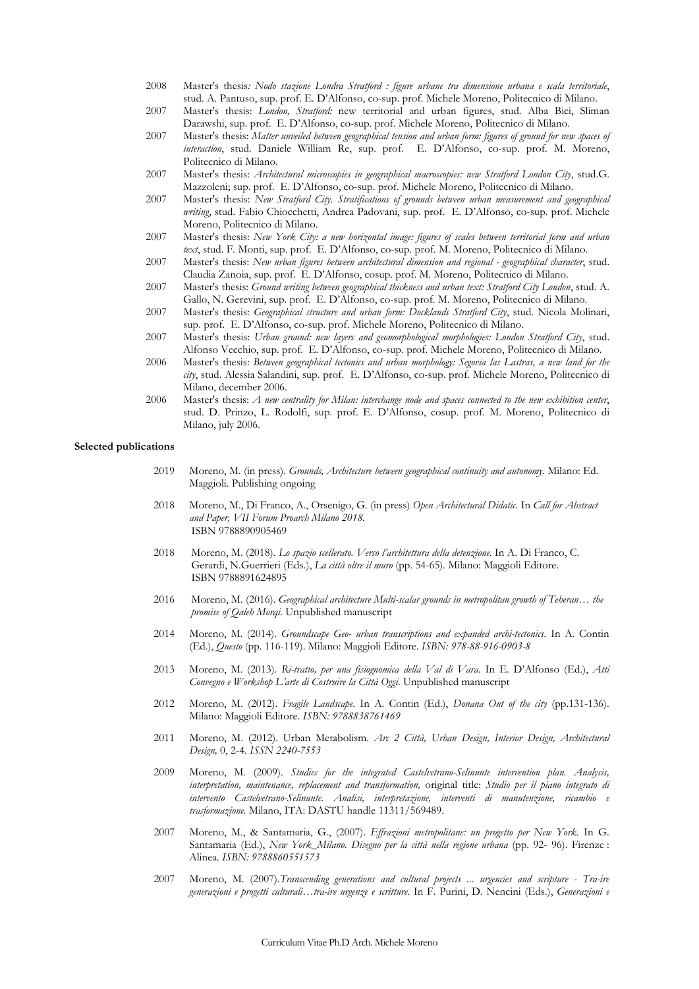- 2008 Master's thesis*: Nodo stazione Londra Stratford : figure urbane tra dimensione urbana e scala territoriale*, stud. A. Pantuso, sup. prof. E. D'Alfonso, co-sup. prof. Michele Moreno, Politecnico di Milano.
- 2007 Master's thesis: *London, Stratford:* new territorial and urban figures, stud. Alba Bici, Sliman Darawshi, sup. prof. E. D'Alfonso, co-sup. prof. Michele Moreno, Politecnico di Milano.
- 2007 Master's thesis: *Matter unveiled between geographical tension and urban form: figures of ground for new spaces of interaction*, stud. Daniele William Re, sup. prof. E. D'Alfonso, co-sup. prof. M. Moreno, Politecnico di Milano.
- 2007 Master's thesis: *Architectural microscopies in geographical macroscopies: new Stratford London City*, stud.G. Mazzoleni; sup. prof. E. D'Alfonso, co-sup. prof. Michele Moreno, Politecnico di Milano.
- 2007 Master's thesis: *New Stratford City. Stratifications of grounds between urban measurement and geographical writing*, stud. Fabio Chiocchetti, Andrea Padovani, sup. prof. E. D'Alfonso, co-sup. prof. Michele Moreno, Politecnico di Milano.
- 2007 Master's thesis: *New York City: a new horizontal image: figures of scales between territorial form and urban text*, stud. F. Monti, sup. prof. E. D'Alfonso, co-sup. prof. M. Moreno, Politecnico di Milano.
- 2007 Master's thesis: *New urban figures between architectural dimension and regional geographical character*, stud. Claudia Zanoia, sup. prof. E. D'Alfonso, cosup. prof. M. Moreno, Politecnico di Milano.
- 2007 Master's thesis: *Ground writing between geographical thickness and urban text: Stratford City London*, stud. A. Gallo, N. Gerevini, sup. prof. E. D'Alfonso, co-sup. prof. M. Moreno, Politecnico di Milano.
- 2007 Master's thesis: *Geographical structure and urban form: Docklands Stratford City*, stud. Nicola Molinari, sup. prof. E. D'Alfonso, co-sup. prof. Michele Moreno, Politecnico di Milano.
- 2007 Master's thesis: *Urban ground: new layers and geomorphological morphologies: London Stratford City*, stud. Alfonso Vecchio, sup. prof. E. D'Alfonso, co-sup. prof. Michele Moreno, Politecnico di Milano.
- 2006 Master's thesis: *Between geographical tectonics and urban morphology: Segovia las Lastras, a new land for the city*, stud. Alessia Salandini, sup. prof. E. D'Alfonso, co-sup. prof. Michele Moreno, Politecnico di Milano, december 2006.
- 2006 Master's thesis: *A new centrality for Milan: interchange node and spaces connected to the new exhibition center*, stud. D. Prinzo, L. Rodolfi, sup. prof. E. D'Alfonso, cosup. prof. M. Moreno, Politecnico di Milano, july 2006.

#### **Selected publications**

- 2019 Moreno, M. (in press). *Grounds, Architecture between geographical continuity and autonomy.* Milano: Ed. Maggioli. Publishing ongoing
- 2018 Moreno, M., Di Franco, A., Orsenigo, G. (in press) *Open Architectural Didatic*. In *Call for Abstract and Paper, VII Forum Proarch Milano 2018.* ISBN 9788890905469
- 2018 Moreno, M. (2018). *Lo spazio scellerato. Verso l'architettura della detenzione*. In A. Di Franco, C. Gerardi, N.Guerrieri (Eds.), *La città oltre il muro* (pp. 54-65)*.* Milano: Maggioli Editore. ISBN 9788891624895
- 2016 Moreno, M. (2016). *Geographical architecture Multi-scalar grounds in metropolitan growth of Teheran… the promise of Qaleh Morqi.* Unpublished manuscript
- 2014 Moreno, M. (2014). *Groundscape Geo- urban transcriptions and expanded archi-tectonics*. In A. Contin (Ed.), *Questo* (pp. 116-119). Milano: Maggioli Editore. *ISBN: 978-88-916-0903-8*
- 2013 Moreno, M. (2013). *Ri-tratto, per una fisiognomica della Val di Vara*. In E. D'Alfonso (Ed.), *Atti Convegno e Workshop L'arte di Costruire la Città Oggi*. Unpublished manuscript
- 2012 Moreno, M. (2012). *Fragile Landscape*. In A. Contin (Ed.), *Donana Out of the city* (pp.131-136). Milano: Maggioli Editore. *ISBN: 9788838761469*
- 2011 Moreno, M. (2012). Urban Metabolism. *Arc 2 Città, Urban Design, Interior Design, Architectural Design,* 0, 2-4. *ISSN 2240-7553*
- 2009 Moreno, M. (2009). *Studies for the integrated Castelvetrano-Selinunte intervention plan. Analysis, interpretation, maintenance, replacement and transformation,* original title: *Studio per il piano integrato di intervento Castelvetrano-Selinunte. Analisi, interpretazione, interventi di manutenzione, ricambio e trasformazione*. Milano, ITA: DASTU handle 11311/569489.
- 2007 Moreno, M., & Santamaria, G., (2007). *Effrazioni metropolitane: un progetto per New York*. In G. Santamaria (Ed.), *New York\_Milano. Disegno per la città nella regione urbana* (pp. 92- 96). Firenze : Alinea. *ISBN: 9788860551573*
- 2007 Moreno, M. (2007).*Transcending generations and cultural projects ... urgencies and scripture Tra-ire generazioni e progetti culturali…tra-ire urgenze e scritture*. In F. Purini, D. Nencini (Eds.), *Generazioni e*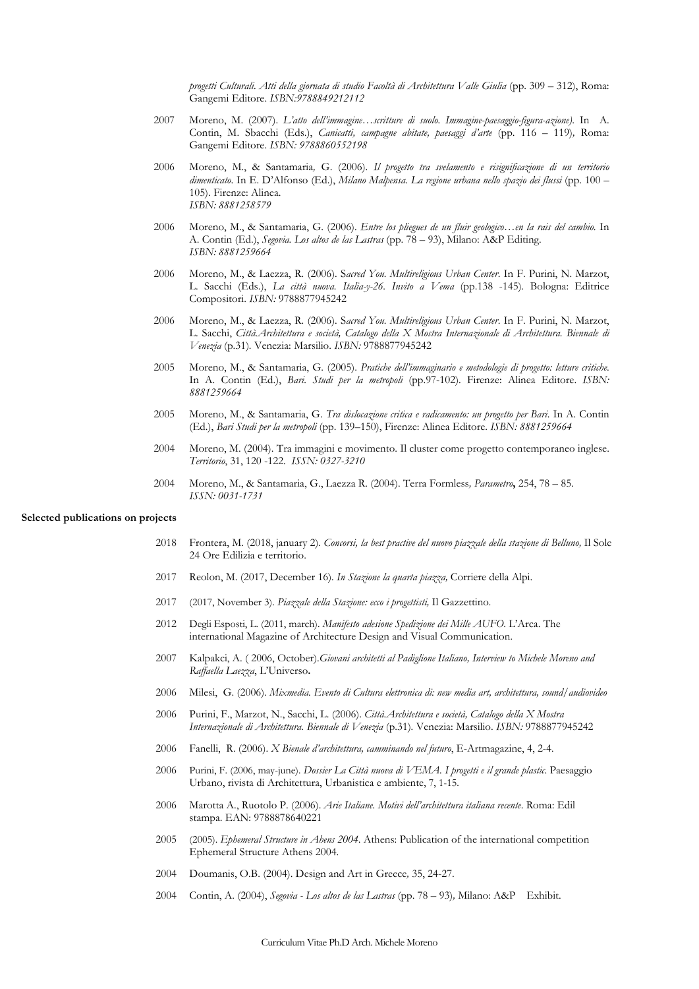*progetti Culturali. Atti della giornata di studio Facoltà di Architettura Valle Giulia* (pp. 309 – 312), Roma: Gangemi Editore. *ISBN:9788849212112* 

- 2007 Moreno, M. (2007). *L'atto dell'immagine…scritture di suolo. Immagine-paesaggio-figura-azione)*. In A. Contin, M. Sbacchi (Eds.), *Canicatti, campagne abitate, paesaggi d'arte* (pp. 116 – 119)*,* Roma: Gangemi Editore. *ISBN: 9788860552198*
- 2006 Moreno, M., & Santamaria*,* G. (2006). *Il progetto tra svelamento e risignificazione di un territorio dimenticato*. In E. D'Alfonso (Ed.), *Milano Malpensa. La regione urbana nello spazio dei flussi* (pp. 100 – 105). Firenze: Alinea. *ISBN: 8881258579*
- 2006 Moreno, M., & Santamaria, G. (2006). *Entre los pliegues de un fluir geologico…en la rais del cambio*. In A. Contin (Ed.), *Segovia. Los altos de las Lastras* (pp. 78 – 93), Milano: A&P Editing. *ISBN: 8881259664*
- 2006 Moreno, M., & Laezza, R. (2006). S*acred You. Multireligious Urban Center*. In F. Purini, N. Marzot, L. Sacchi (Eds.), *La città nuova. Italia-y-26. Invito a Vema* (pp.138 -145)*.* Bologna: Editrice Compositori. *ISBN:* 9788877945242
- 2006 Moreno, M., & Laezza, R. (2006). S*acred You. Multireligious Urban Center*. In F. Purini, N. Marzot, L. Sacchi, *Città.Architettura e società, Catalogo della X Mostra Internazionale di Architettura. Biennale di Venezia* (p.31)*.* Venezia: Marsilio. *ISBN:* 9788877945242
- 2005 Moreno, M., & Santamaria, G. (2005). *Pratiche dell'immaginario e metodologie di progetto: letture critiche*. In A. Contin (Ed.), *Bari. Studi per la metropoli* (pp.97-102). Firenze: Alinea Editore. *ISBN: 8881259664*
- 2005 Moreno, M., & Santamaria, G. *Tra dislocazione critica e radicamento: un progetto per Bari*. In A. Contin (Ed.), *Bari Studi per la metropoli* (pp. 139–150), Firenze: Alinea Editore. *ISBN: 8881259664*
- 2004 Moreno, M. (2004). Tra immagini e movimento. Il cluster come progetto contemporaneo inglese. *Territorio*, 31, 120 -122. *ISSN: 0327-3210*
- 2004 Moreno, M., & Santamaria, G., Laezza R. (2004). Terra Formless*, Parametro***,** 254, 78 85. *ISSN: 0031-1731*

#### **Selected publications on projects**

- 2018 Frontera, M. (2018, january 2). *Concorsi, la best practive del nuovo piazzale della stazione di Belluno*, Il Sole 24 Ore Edilizia e territorio.
- 2017 Reolon, M. (2017, December 16). *In Stazione la quarta piazza,* Corriere della Alpi.
- 2017 (2017, November 3). *Piazzale della Stazione: ecco i progettisti,* Il Gazzettino*.*
- 2012 Degli Esposti, L. (2011, march). *Manifesto adesione Spedizione dei Mille AUFO*. L'Arca. The international Magazine of Architecture Design and Visual Communication.
- 2007 Kalpakci, A. ( 2006, October).*Giovani architetti al Padiglione Italiano, Interview to Michele Moreno and Raffaella Laezza*, L'Universo**.**
- 2006 Milesi, G. (2006). *Mixmedia. Evento di Cultura elettronica di: new media art, architettura, sound/audiovideo*
- 2006 Purini, F., Marzot, N., Sacchi, L. (2006). *Città.Architettura e società, Catalogo della X Mostra Internazionale di Architettura. Biennale di Venezia* (p.31)*.* Venezia: Marsilio. *ISBN:* 9788877945242
- 2006 Fanelli, R. (2006). *X Bienale d'architettura, camminando nel futuro*, E-Artmagazine, 4, 2-4.
- 2006 Purini, F. (2006, may-june). *Dossier La Città nuova di VEMA. I progetti e il grande plastic*. Paesaggio Urbano, rivista di Architettura, Urbanistica e ambiente, 7, 1-15.
- 2006 Marotta A., Ruotolo P. (2006). *Arie Italiane. Motivi dell'architettura italiana recente*. Roma: Edil stampa. EAN: 9788878640221
- 2005 (2005). *Ephemeral Structure in Ahens 2004*. Athens: Publication of the international competition Ephemeral Structure Athens 2004.
- 2004 Doumanis, O.B. (2004). Design and Art in Greece*,* 35, 24-27.
- 2004 Contin, A. (2004), *Segovia Los altos de las Lastras* (pp. 78 93)*,* Milano: A&P Exhibit.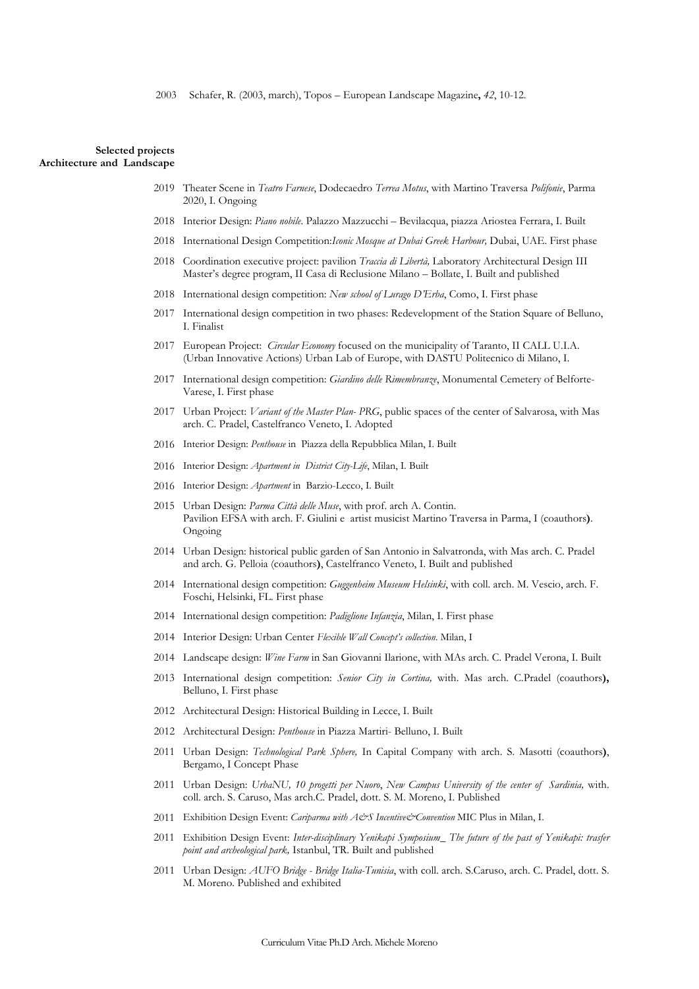### **Selected projects Architecture and Landscape**

- 2019 Theater Scene in *Teatro Farnese*, Dodecaedro *Terrea Motus*, with Martino Traversa *Polifonie*, Parma 2020, I. Ongoing
- 2018 Interior Design: *Piano nobile*. Palazzo Mazzucchi Bevilacqua, piazza Ariostea Ferrara, I. Built
- 2018 International Design Competition:*Iconic Mosque at Dubai Greek Harbour,* Dubai, UAE. First phase
- 2018 Coordination executive project: pavilion *Traccia di Libertà,* Laboratory Architectural Design III Master's degree program, II Casa di Reclusione Milano – Bollate, I. Built and published
- 2018 International design competition: *New school of Lurago D'Erba*, Como, I. First phase
- 2017 International design competition in two phases: Redevelopment of the Station Square of Belluno, I. Finalist
- 2017 European Project: *Circular Economy* focused on the municipality of Taranto, II CALL U.I.A. (Urban Innovative Actions) Urban Lab of Europe, with DASTU Politecnico di Milano, I.
- 2017 International design competition: *Giardino delle Rimembranze*, Monumental Cemetery of Belforte-Varese, I. First phase
- 2017 Urban Project: *Variant of the Master Plan- PRG*, public spaces of the center of Salvarosa, with Mas arch. C. Pradel, Castelfranco Veneto, I. Adopted
- 2016 Interior Design: *Penthouse* in Piazza della Repubblica Milan, I. Built
- 2016 Interior Design: *Apartment in District City-Life*, Milan, I. Built
- 2016 Interior Design: *Apartment* in Barzio-Lecco, I. Built
- 2015 Urban Design: *Parma Città delle Muse*, with prof. arch A. Contin. Pavilion EFSA with arch. F. Giulini e artist musicist Martino Traversa in Parma, I (coauthors**)**. Ongoing
- 2014 Urban Design: historical public garden of San Antonio in Salvatronda, with Mas arch. C. Pradel and arch. G. Pelloia (coauthors**)**, Castelfranco Veneto, I. Built and published
- 2014 International design competition: *Guggenheim Museum Helsinki*, with coll. arch. M. Vescio, arch. F. Foschi, Helsinki, FL. First phase
- 2014 International design competition: *Padiglione Infanzia*, Milan, I. First phase
- 2014 Interior Design: Urban Center *Flexible Wall Concept's collection*. Milan, I
- 2014 Landscape design: *Wine Farm* in San Giovanni Ilarione, with MAs arch. C. Pradel Verona, I. Built
- 2013 International design competition: *Senior City in Cortina,* with. Mas arch. C.Pradel (coauthors**),**  Belluno, I. First phase
- 2012 Architectural Design: Historical Building in Lecce, I. Built
- 2012 Architectural Design: *Penthouse* in Piazza Martiri- Belluno, I. Built
- 2011 Urban Design: *Technological Park Sphere,* In Capital Company with arch. S. Masotti (coauthors**)**, Bergamo, I Concept Phase
- 2011 Urban Design: *UrbaNU, 10 progetti per Nuoro*, *New Campus University of the center of Sardinia,* with. coll. arch. S. Caruso, Mas arch.C. Pradel, dott. S. M. Moreno, I. Published
- 2011 Exhibition Design Event: *Cariparma with A&S Incentive&Convention* MIC Plus in Milan, I.
- 2011 Exhibition Design Event: *Inter-disciplinary Yenikapi Symposium\_ The future of the past of Yenikapi: trasfer point and archeological park,* Istanbul, TR. Built and published
- 2011 Urban Design: *AUFO Bridge Bridge Italia-Tunisia*, with coll. arch. S.Caruso, arch. C. Pradel, dott. S. M. Moreno. Published and exhibited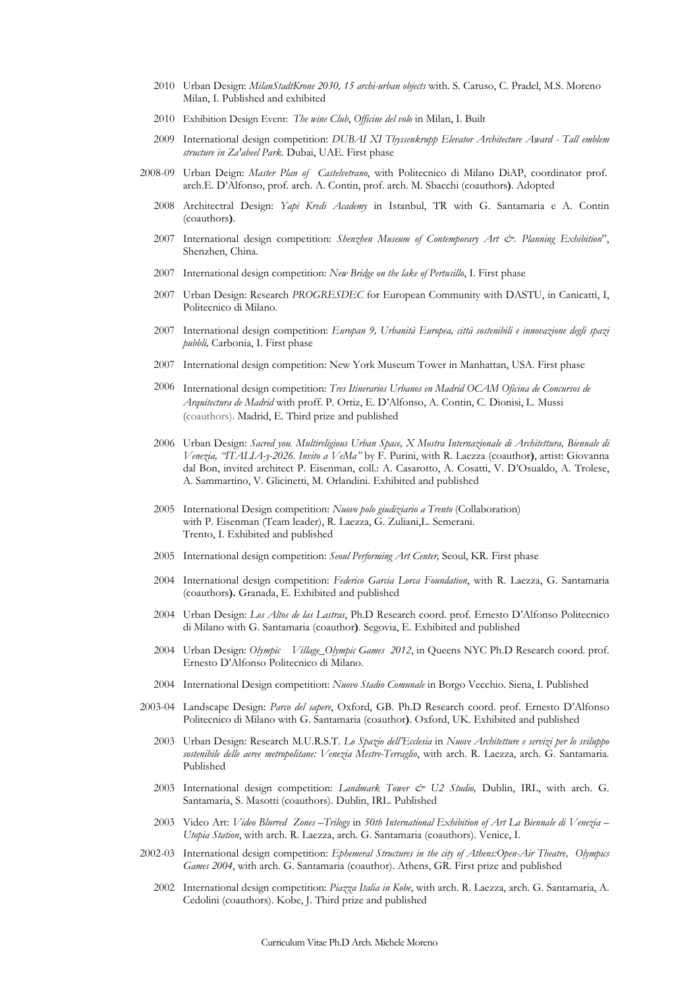- 2010 Urban Design: *MilanStadtKrone 2030, 15 archi-urban objects* with. S. Caruso, C. Pradel, M.S. Moreno Milan, I. Published and exhibited
- 2010 Exhibition Design Event: *The wine Club*, *Officine del volo* in Milan, I. Built
- 2009 International design competition: *DUBAI XI Thyssenkrupp Elevator Architecture Award Tall emblem structure in Za'abeel Park.* Dubai, UAE. First phase
- 2008-09 Urban Deign: *Master Plan of Castelvetrano*, with Politecnico di Milano DiAP, coordinator prof. arch.E. D'Alfonso, prof. arch. A. Contin, prof. arch. M. Sbacchi (coauthors**)**. Adopted
	- 2008 Architectral Design: *Yapi Kredi Academy* in Istanbul, TR with G. Santamaria e A. Contin (coauthors**)**.
	- 2007 International design competition: *Shenzhen Museum of Contemporary Art &. Planning Exhibition*", Shenzhen, China.
	- 2007 International design competition: *New Bridge on the lake of Pertusillo*, I. First phase
	- 2007 Urban Design: Research *PROGRESDEC* for European Community with DASTU, in Canicattì, I, Politecnico di Milano.
	- 2007 International design competition: *Europan 9, Urbanità Europea, città sostenibili e innovazione degli spazi pubbli,* Carbonia, I. First phase
	- 2007 International design competition: New York Museum Tower in Manhattan, USA. First phase
	- 2006 International design competition: *Tres Itinerarios Urbanos en Madrid OCAM Oficina de Concursos de Arquitectura de Madrid* with proff. P. Ortiz, E. D'Alfonso, A. Contin, C. Dionisi, L. Mussi (coauthors). Madrid, E. Third prize and published
	- 2006 Urban Design: *Sacred you. Multireligious Urban Space, X Mostra Internazionale di Architettura, Biennale di Venezia, "ITALIA-y-2026. Invito a VeMa"* by F. Purini, with R. Laezza (coauthor**)**, artist: Giovanna dal Bon, invited architect P. Eisenman, coll.: A. Casarotto, A. Cosatti, V. D'Osualdo, A. Trolese, A. Sammartino, V. Glicinetti, M. Orlandini. Exhibited and published
	- 2005 International Design competition: *Nuovo polo giudiziario a Trento* (Collaboration) with P. Eisenman (Team leader), R. Laezza, G. Zuliani,L. Semerani. Trento, I. Exhibited and published
	- 2005 International design competition: *Seoul Performing Art Center,* Seoul, KR. First phase
	- 2004 International design competition: *Federico Garcia Lorca Foundation*, with R. Laezza, G. Santamaria (coauthors**).** Granada, E. Exhibited and published
	- 2004 Urban Design: *Los Altos de las Lastras*, Ph.D Research coord. prof. Ernesto D'Alfonso Politecnico di Milano with G. Santamaria (coauthor**)**. Segovia, E. Exhibited and published
	- 2004 Urban Design: *Olympic Village\_Olympic Games 2012*, in Queens NYC Ph.D Research coord. prof. Ernesto D'Alfonso Politecnico di Milano.
	- 2004 International Design competition: *Nuovo Stadio Comunale* in Borgo Vecchio. Siena, I. Published
- 2003-04 Landscape Design: *Parco del sapere*, Oxford, GB. Ph.D Research coord. prof. Ernesto D'Alfonso Politecnico di Milano with G. Santamaria (coauthor**)**. Oxford, UK. Exhibited and published
	- 2003 Urban Design: Research M.U.R.S.T. *Lo Spazio dell'Ecclesia* in *Nuove Architetture e servizi per lo sviluppo sostenibile delle aeree metropolitane: Venezia Mestre-Terraglio*, with arch. R. Laezza, arch. G. Santamaria. Published
	- 2003 International design competition: *Landmark Tower & U2 Studio,* Dublin, IRL, with arch. G. Santamaria, S. Masotti (coauthors). Dublin, IRL. Published
	- 2003 Video Art: *Video Blurred Zones –Trilogy* in *50th International Exhibition of Art La Biennale di Venezia Utopia Station*, with arch. R. Laezza, arch. G. Santamaria (coauthors). Venice, I.
- 2002-03 International design competition: *Ephemeral Structures in the city of Athens:Open-Air Theatre, Olympics Games 2004*, with arch. G. Santamaria (coauthor). Athens, GR. First prize and published
	- 2002 International design competition: *Piazza Italia in Kobe*, with arch. R. Laezza, arch. G. Santamaria, A. Cedolini (coauthors). Kobe, J. Third prize and published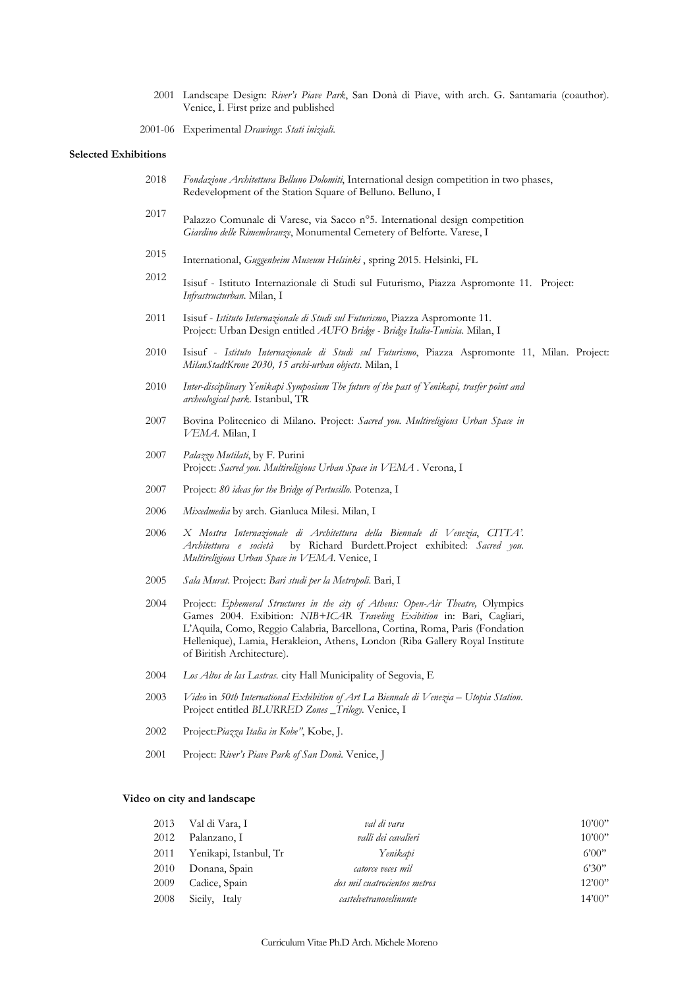2001 Landscape Design: *River's Piave Park*, San Donà di Piave, with arch. G. Santamaria (coauthor). Venice, I. First prize and published

2001-06 Experimental *Drawings*: *Stati iniziali.*

#### **Selected Exhibitions**

- 2018 *Fondazione Architettura Belluno Dolomiti*, International design competition in two phases, Redevelopment of the Station Square of Belluno. Belluno, I
- 2017 Palazzo Comunale di Varese, via Sacco n°5. International design competition *Giardino delle Rimembranze*, Monumental Cemetery of Belforte. Varese, I
- 2015 International, *Guggenheim Museum Helsinki* , spring 2015. Helsinki, FL
- 2012 Isisuf Istituto Internazionale di Studi sul Futurismo, Piazza Aspromonte 11. Project: *Infrastructurban*. Milan, I
- 2011 Isisuf *Istituto Internazionale di Studi sul Futurismo*, Piazza Aspromonte 11. Project: Urban Design entitled *AUFO Bridge - Bridge Italia-Tunisia*. Milan, I
- 2010 Isisuf *Istituto Internazionale di Studi sul Futurismo*, Piazza Aspromonte 11, Milan. Project: *MilanStadtKrone 2030, 15 archi-urban objects*. Milan, I
- 2010 *Inter-disciplinary Yenikapi Symposium The future of the past of Yenikapi, trasfer point and archeological park.* Istanbul, TR
- 2007 Bovina Politecnico di Milano. Project: *Sacred you. Multireligious Urban Space in VEMA.* Milan, I
- 2007 *Palazzo Mutilati*, by F. Purini Project: *Sacred you. Multireligious Urban Space in VEMA* . Verona, I
- 2007 Project: *80 ideas for the Bridge of Pertusillo*. Potenza, I
- 2006 *Mixedmedia* by arch. Gianluca Milesi. Milan, I
- 2006 *X Mostra Internazionale di Architettura della Biennale di Venezia*, *CITTA'. Architettura e società* by Richard Burdett.Project exhibited: *Sacred you. Multireligious Urban Space in VEMA*. Venice, I
- 2005 *Sala Murat*. Project: *Bari studi per la Metropoli*. Bari, I
- 2004 Project: *Ephemeral Structures in the city of Athens: Open-Air Theatre,* Olympics Games 2004. Exibition: *NIB+ICAR Traveling Exibition* in: Bari, Cagliari, L'Aquila, Como, Reggio Calabria, Barcellona, Cortina, Roma, Paris (Fondation Hellenique), Lamia, Herakleion, Athens, London (Riba Gallery Royal Institute of Biritish Architecture).
- 2004 *Los Altos de las Lastras.* city Hall Municipality of Segovia, E
- 2003 *Video* in *50th International Exhibition of Art La Biennale di Venezia Utopia Station*. Project entitled *BLURRED Zones \_Trilogy.* Venice, I
- 2002 Project:*Piazza Italia in Kobe"*, Kobe, J.
- 2001 Project: *River's Piave Park of San Donà.* Venice, J

#### **Video on city and landscape**

| 2013 | Val di Vara, I         | val di vara                  | 10'00"  |
|------|------------------------|------------------------------|---------|
| 2012 | Palanzano, I           | valli dei cavalieri          | 10'00"  |
| 2011 | Yenikapi, Istanbul, Tr | Yenikapi                     | 6'00"   |
| 2010 | Donana, Spain          | catorce veces mil            | 6'30"   |
| 2009 | Cadice, Spain          | dos mil cuatrocientos metros | 12'00"  |
| 2008 | Sicily, Italy          | castelvetranoselinunte       | 14'00'' |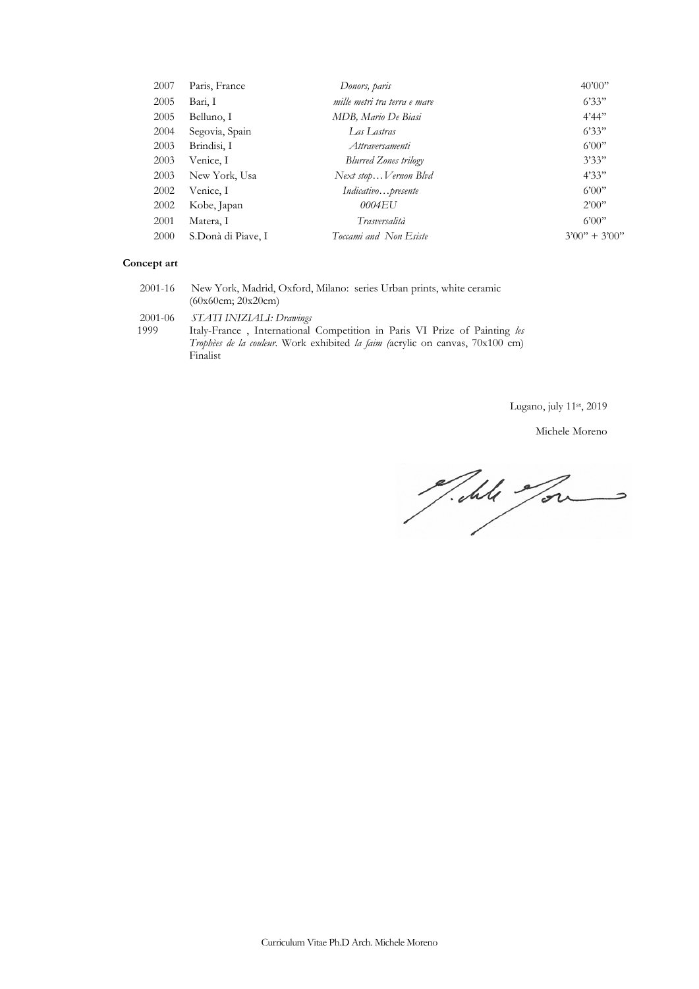| 2007 | Paris, France      | Donors, paris                | 40'00''           |
|------|--------------------|------------------------------|-------------------|
| 2005 | Bari, I            | mille metri tra terra e mare | 6'33"             |
| 2005 | Belluno, I         | MDB, Mario De Biasi          | 4'44''            |
| 2004 | Segovia, Spain     | Las Lastras                  | 6'33"             |
| 2003 | Brindisi, I        | Attraversamenti              | 6'00"             |
| 2003 | Venice, I          | <b>Blurred Zones trilogy</b> | 3'33"             |
| 2003 | New York, Usa      | Next stopVernon Blvd         | 4'33"             |
| 2002 | Venice, I          | Indicativopresente           | 6'00"             |
| 2002 | Kobe, Japan        | 0004EU                       | 2'00"             |
| 2001 | Matera, I          | Trasversalità                | 6'00"             |
| 2000 | S.Donà di Piave, I | Toccami and Non Esiste       | $3'00'' + 3'00''$ |
|      |                    |                              |                   |

# **Concept art**

| 2001-16         | New York, Madrid, Oxford, Milano: series Urban prints, white ceramic<br>(60x60cm; 20x20cm)                                                                                                           |
|-----------------|------------------------------------------------------------------------------------------------------------------------------------------------------------------------------------------------------|
| 2001-06<br>1999 | STATI INIZIALI: Drawings<br>Italy-France, International Competition in Paris VI Prize of Painting les<br>Trophèes de la couleur. Work exhibited la faim (acrylic on canvas, $70x100$ cm)<br>Finalist |

Lugano, july 11st, 2019

Michele Moreno

Till Jou  $\Rightarrow$